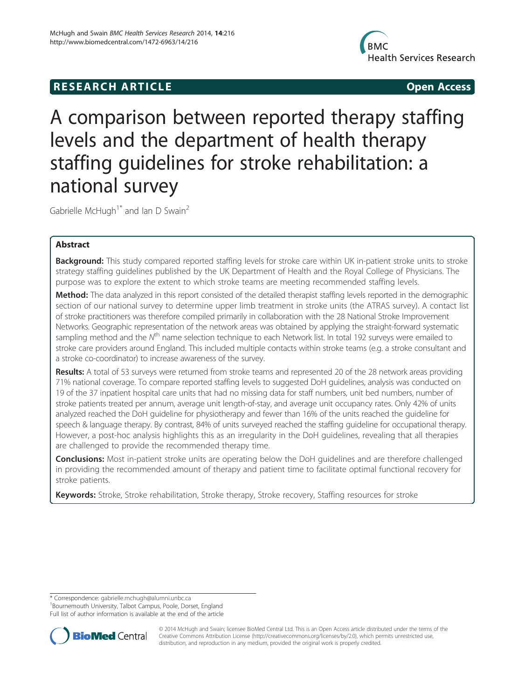# **RESEARCH ARTICLE Example 2014 12:30 The SEAR CHA RESEARCH ARTICLE**



A comparison between reported therapy staffing levels and the department of health therapy staffing guidelines for stroke rehabilitation: a national survey

Gabrielle McHugh<sup>1\*</sup> and Ian D Swain<sup>2</sup>

## Abstract

**Background:** This study compared reported staffing levels for stroke care within UK in-patient stroke units to stroke strategy staffing guidelines published by the UK Department of Health and the Royal College of Physicians. The purpose was to explore the extent to which stroke teams are meeting recommended staffing levels.

Method: The data analyzed in this report consisted of the detailed therapist staffing levels reported in the demographic section of our national survey to determine upper limb treatment in stroke units (the ATRAS survey). A contact list of stroke practitioners was therefore compiled primarily in collaboration with the 28 National Stroke Improvement Networks. Geographic representation of the network areas was obtained by applying the straight-forward systematic sampling method and the N<sup>th</sup> name selection technique to each Network list. In total 192 surveys were emailed to stroke care providers around England. This included multiple contacts within stroke teams (e.g. a stroke consultant and a stroke co-coordinator) to increase awareness of the survey.

Results: A total of 53 surveys were returned from stroke teams and represented 20 of the 28 network areas providing 71% national coverage. To compare reported staffing levels to suggested DoH guidelines, analysis was conducted on 19 of the 37 inpatient hospital care units that had no missing data for staff numbers, unit bed numbers, number of stroke patients treated per annum, average unit length-of-stay, and average unit occupancy rates. Only 42% of units analyzed reached the DoH guideline for physiotherapy and fewer than 16% of the units reached the guideline for speech & language therapy. By contrast, 84% of units surveyed reached the staffing guideline for occupational therapy. However, a post-hoc analysis highlights this as an irregularity in the DoH guidelines, revealing that all therapies are challenged to provide the recommended therapy time.

**Conclusions:** Most in-patient stroke units are operating below the DoH guidelines and are therefore challenged in providing the recommended amount of therapy and patient time to facilitate optimal functional recovery for stroke patients.

Keywords: Stroke, Stroke rehabilitation, Stroke therapy, Stroke recovery, Staffing resources for stroke

\* Correspondence: [gabrielle.mchugh@alumni.unbc.ca](mailto:gabrielle.mchugh@alumni.unbc.ca) <sup>1</sup>

<sup>1</sup>Bournemouth University, Talbot Campus, Poole, Dorset, England

Full list of author information is available at the end of the article



© 2014 McHugh and Swain; licensee BioMed Central Ltd. This is an Open Access article distributed under the terms of the Creative Commons Attribution License (<http://creativecommons.org/licenses/by/2.0>), which permits unrestricted use, distribution, and reproduction in any medium, provided the original work is properly credited.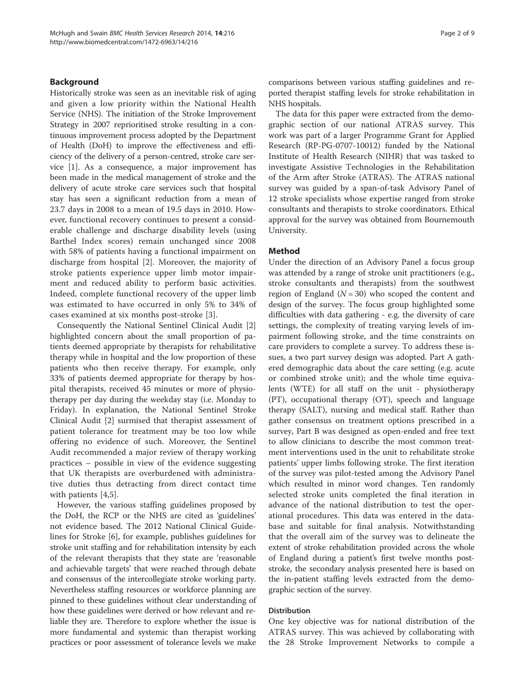## Background

Historically stroke was seen as an inevitable risk of aging and given a low priority within the National Health Service (NHS). The initiation of the Stroke Improvement Strategy in 2007 reprioritised stroke resulting in a continuous improvement process adopted by the Department of Health (DoH) to improve the effectiveness and efficiency of the delivery of a person-centred, stroke care service [[1](#page-7-0)]. As a consequence, a major improvement has been made in the medical management of stroke and the delivery of acute stroke care services such that hospital stay has seen a significant reduction from a mean of 23.7 days in 2008 to a mean of 19.5 days in 2010. However, functional recovery continues to present a considerable challenge and discharge disability levels (using Barthel Index scores) remain unchanged since 2008 with 58% of patients having a functional impairment on discharge from hospital [[2\]](#page-7-0). Moreover, the majority of stroke patients experience upper limb motor impairment and reduced ability to perform basic activities. Indeed, complete functional recovery of the upper limb was estimated to have occurred in only 5% to 34% of cases examined at six months post-stroke [\[3\]](#page-7-0).

Consequently the National Sentinel Clinical Audit [\[2](#page-7-0)] highlighted concern about the small proportion of patients deemed appropriate by therapists for rehabilitative therapy while in hospital and the low proportion of these patients who then receive therapy. For example, only 33% of patients deemed appropriate for therapy by hospital therapists, received 45 minutes or more of physiotherapy per day during the weekday stay (i.e. Monday to Friday). In explanation, the National Sentinel Stroke Clinical Audit [[2\]](#page-7-0) surmised that therapist assessment of patient tolerance for treatment may be too low while offering no evidence of such. Moreover, the Sentinel Audit recommended a major review of therapy working practices – possible in view of the evidence suggesting that UK therapists are overburdened with administrative duties thus detracting from direct contact time with patients [[4,5](#page-7-0)].

However, the various staffing guidelines proposed by the DoH, the RCP or the NHS are cited as 'guidelines' not evidence based. The 2012 National Clinical Guidelines for Stroke [\[6\]](#page-7-0), for example, publishes guidelines for stroke unit staffing and for rehabilitation intensity by each of the relevant therapists that they state are 'reasonable and achievable targets' that were reached through debate and consensus of the intercollegiate stroke working party. Nevertheless staffing resources or workforce planning are pinned to these guidelines without clear understanding of how these guidelines were derived or how relevant and reliable they are. Therefore to explore whether the issue is more fundamental and systemic than therapist working practices or poor assessment of tolerance levels we make comparisons between various staffing guidelines and reported therapist staffing levels for stroke rehabilitation in NHS hospitals.

The data for this paper were extracted from the demographic section of our national ATRAS survey. This work was part of a larger Programme Grant for Applied Research (RP-PG-0707-10012) funded by the National Institute of Health Research (NIHR) that was tasked to investigate Assistive Technologies in the Rehabilitation of the Arm after Stroke (ATRAS). The ATRAS national survey was guided by a span-of-task Advisory Panel of 12 stroke specialists whose expertise ranged from stroke consultants and therapists to stroke coordinators. Ethical approval for the survey was obtained from Bournemouth University.

## Method

Under the direction of an Advisory Panel a focus group was attended by a range of stroke unit practitioners (e.g., stroke consultants and therapists) from the southwest region of England ( $N = 30$ ) who scoped the content and design of the survey. The focus group highlighted some difficulties with data gathering - e.g. the diversity of care settings, the complexity of treating varying levels of impairment following stroke, and the time constraints on care providers to complete a survey. To address these issues, a two part survey design was adopted. Part A gathered demographic data about the care setting (e.g. acute or combined stroke unit); and the whole time equivalents (WTE) for all staff on the unit - physiotherapy (PT), occupational therapy (OT), speech and language therapy (SALT), nursing and medical staff. Rather than gather consensus on treatment options prescribed in a survey, Part B was designed as open-ended and free text to allow clinicians to describe the most common treatment interventions used in the unit to rehabilitate stroke patients' upper limbs following stroke. The first iteration of the survey was pilot-tested among the Advisory Panel which resulted in minor word changes. Ten randomly selected stroke units completed the final iteration in advance of the national distribution to test the operational procedures. This data was entered in the database and suitable for final analysis. Notwithstanding that the overall aim of the survey was to delineate the extent of stroke rehabilitation provided across the whole of England during a patient's first twelve months poststroke, the secondary analysis presented here is based on the in-patient staffing levels extracted from the demographic section of the survey.

#### Distribution

One key objective was for national distribution of the ATRAS survey. This was achieved by collaborating with the 28 Stroke Improvement Networks to compile a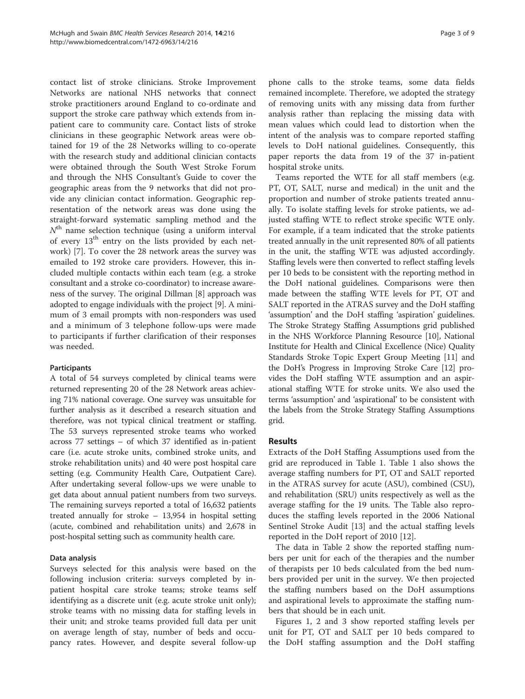contact list of stroke clinicians. Stroke Improvement Networks are national NHS networks that connect stroke practitioners around England to co-ordinate and support the stroke care pathway which extends from inpatient care to community care. Contact lists of stroke clinicians in these geographic Network areas were obtained for 19 of the 28 Networks willing to co-operate with the research study and additional clinician contacts were obtained through the South West Stroke Forum and through the NHS Consultant's Guide to cover the geographic areas from the 9 networks that did not provide any clinician contact information. Geographic representation of the network areas was done using the straight-forward systematic sampling method and the  $N<sup>th</sup>$  name selection technique (using a uniform interval of every  $13<sup>th</sup>$  entry on the lists provided by each network) [[7\]](#page-7-0). To cover the 28 network areas the survey was emailed to 192 stroke care providers. However, this included multiple contacts within each team (e.g. a stroke consultant and a stroke co-coordinator) to increase awareness of the survey. The original Dillman [[8](#page-7-0)] approach was adopted to engage individuals with the project [[9](#page-7-0)]. A minimum of 3 email prompts with non-responders was used and a minimum of 3 telephone follow-ups were made to participants if further clarification of their responses was needed.

## Participants

A total of 54 surveys completed by clinical teams were returned representing 20 of the 28 Network areas achieving 71% national coverage. One survey was unsuitable for further analysis as it described a research situation and therefore, was not typical clinical treatment or staffing. The 53 surveys represented stroke teams who worked across 77 settings – of which 37 identified as in-patient care (i.e. acute stroke units, combined stroke units, and stroke rehabilitation units) and 40 were post hospital care setting (e.g. Community Health Care, Outpatient Care). After undertaking several follow-ups we were unable to get data about annual patient numbers from two surveys. The remaining surveys reported a total of 16,632 patients treated annually for stroke – 13,954 in hospital setting (acute, combined and rehabilitation units) and 2,678 in post-hospital setting such as community health care.

## Data analysis

Surveys selected for this analysis were based on the following inclusion criteria: surveys completed by inpatient hospital care stroke teams; stroke teams self identifying as a discrete unit (e.g. acute stroke unit only); stroke teams with no missing data for staffing levels in their unit; and stroke teams provided full data per unit on average length of stay, number of beds and occupancy rates. However, and despite several follow-up

phone calls to the stroke teams, some data fields remained incomplete. Therefore, we adopted the strategy of removing units with any missing data from further analysis rather than replacing the missing data with mean values which could lead to distortion when the intent of the analysis was to compare reported staffing levels to DoH national guidelines. Consequently, this paper reports the data from 19 of the 37 in-patient hospital stroke units.

Teams reported the WTE for all staff members (e.g. PT, OT, SALT, nurse and medical) in the unit and the proportion and number of stroke patients treated annually. To isolate staffing levels for stroke patients, we adjusted staffing WTE to reflect stroke specific WTE only. For example, if a team indicated that the stroke patients treated annually in the unit represented 80% of all patients in the unit, the staffing WTE was adjusted accordingly. Staffing levels were then converted to reflect staffing levels per 10 beds to be consistent with the reporting method in the DoH national guidelines. Comparisons were then made between the staffing WTE levels for PT, OT and SALT reported in the ATRAS survey and the DoH staffing 'assumption' and the DoH staffing 'aspiration' guidelines. The Stroke Strategy Staffing Assumptions grid published in the NHS Workforce Planning Resource [[10](#page-7-0)], National Institute for Health and Clinical Excellence (Nice) Quality Standards Stroke Topic Expert Group Meeting [[11](#page-7-0)] and the DoH's Progress in Improving Stroke Care [\[12\]](#page-7-0) provides the DoH staffing WTE assumption and an aspirational staffing WTE for stroke units. We also used the terms 'assumption' and 'aspirational' to be consistent with the labels from the Stroke Strategy Staffing Assumptions grid.

### Results

Extracts of the DoH Staffing Assumptions used from the grid are reproduced in Table [1](#page-3-0). Table [1](#page-3-0) also shows the average staffing numbers for PT, OT and SALT reported in the ATRAS survey for acute (ASU), combined (CSU), and rehabilitation (SRU) units respectively as well as the average staffing for the 19 units. The Table also reproduces the staffing levels reported in the 2006 National Sentinel Stroke Audit [[13\]](#page-7-0) and the actual staffing levels reported in the DoH report of 2010 [[12\]](#page-7-0).

The data in Table [2](#page-3-0) show the reported staffing numbers per unit for each of the therapies and the number of therapists per 10 beds calculated from the bed numbers provided per unit in the survey. We then projected the staffing numbers based on the DoH assumptions and aspirational levels to approximate the staffing numbers that should be in each unit.

Figures [1, 2](#page-4-0) and [3](#page-5-0) show reported staffing levels per unit for PT, OT and SALT per 10 beds compared to the DoH staffing assumption and the DoH staffing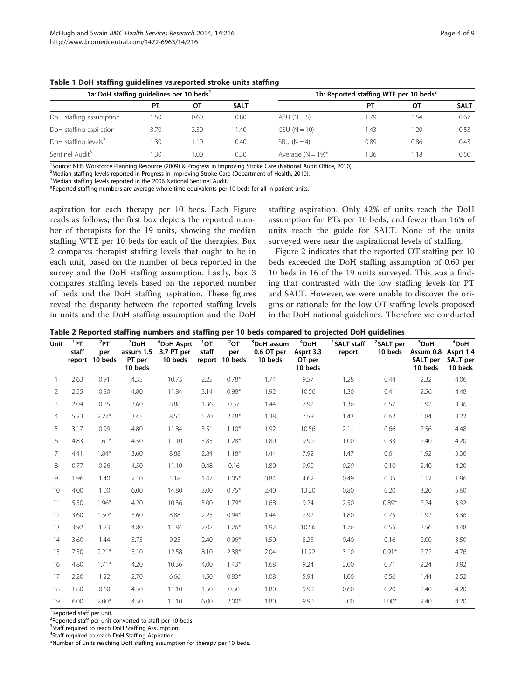| 1a: DoH staffing guidelines per 10 beds <sup>1</sup> |           |      |             | 1b: Reported staffing WTE per 10 beds* |      |      |             |  |
|------------------------------------------------------|-----------|------|-------------|----------------------------------------|------|------|-------------|--|
|                                                      | <b>PT</b> | от   | <b>SALT</b> |                                        | PT   | от   | <b>SALT</b> |  |
| DoH staffing assumption                              | .50       | 0.60 | 0.80        | $ASU(N=5)$                             | 1.79 | 1.54 | 0.67        |  |
| DoH staffing aspiration                              | 3.70      | 3.30 | .40         | $CSU(N = 10)$                          | 1.43 | 1.20 | 0.53        |  |
| DoH staffing levels <sup>2</sup>                     | .30       | 1.10 | 0.40        | $SRU(N=4)$                             | 0.89 | 0.86 | 0.43        |  |
| Sentinel Audit <sup>3</sup>                          | .30       | 1.00 | 0.30        | Average $(N = 19)^*$                   | 1.36 | 1.18 | 0.50        |  |

<span id="page-3-0"></span>Table 1 DoH staffing guidelines vs.reported stroke units staffing

<sup>1</sup>Source: NHS Workforce Planning Resource (2009) & Progress in Improving Stroke Care (National Audit Office, 2010).

<sup>2</sup>Median staffing levels reported in Progress in Improving Stroke Care (Department of Health, 2010).

<sup>3</sup>Median staffing levels reported in the 2006 National Sentinel Audit.

\*Reported staffing numbers are average whole time equivalents per 10 beds for all in-patient units.

aspiration for each therapy per 10 beds. Each Figure reads as follows; the first box depicts the reported number of therapists for the 19 units, showing the median staffing WTE per 10 beds for each of the therapies. Box 2 compares therapist staffing levels that ought to be in each unit, based on the number of beds reported in the survey and the DoH staffing assumption. Lastly, box 3 compares staffing levels based on the reported number of beds and the DoH staffing aspiration. These figures reveal the disparity between the reported staffing levels in units and the DoH staffing assumption and the DoH

staffing aspiration. Only 42% of units reach the DoH assumption for PTs per 10 beds, and fewer than 16% of units reach the guide for SALT. None of the units surveyed were near the aspirational levels of staffing.

Figure [2](#page-4-0) indicates that the reported OT staffing per 10 beds exceeded the DoH staffing assumption of 0.60 per 10 beds in 16 of the 19 units surveyed. This was a finding that contrasted with the low staffing levels for PT and SALT. However, we were unable to discover the origins or rationale for the low OT staffing levels proposed in the DoH national guidelines. Therefore we conducted

Table 2 Reported staffing numbers and staffing per 10 beds compared to projected DoH guidelines

| Unit         | 1PT<br>staff | $^{2}PT$<br>per<br>report 10 beds | <sup>3</sup> DoH<br>assum 1.5<br>PT per<br>10 beds | <sup>4</sup> DoH Asprt<br>3.7 PT per<br>10 beds | 1 <sub>OT</sub><br>staff | $2$ OT<br>per<br>report 10 beds | <sup>3</sup> DoH assum<br>0.6 OT per<br>10 beds | $4$ DoH<br>Asprt 3.3<br>OT per<br>10 beds | <sup>1</sup> SALT staff<br>report | <sup>2</sup> SALT per<br>10 beds | <sup>3</sup> DoH<br>Assum 0.8<br><b>SALT</b> per<br>10 beds | $4$ DoH<br>Asprt 1.4<br>SALT per<br>10 beds |
|--------------|--------------|-----------------------------------|----------------------------------------------------|-------------------------------------------------|--------------------------|---------------------------------|-------------------------------------------------|-------------------------------------------|-----------------------------------|----------------------------------|-------------------------------------------------------------|---------------------------------------------|
| $\mathbf{1}$ | 2.63         | 0.91                              | 4.35                                               | 10.73                                           | 2.25                     | $0.78*$                         | 1.74                                            | 9.57                                      | 1.28                              | 0.44                             | 2.32                                                        | 4.06                                        |
| 2            | 2.55         | 0.80                              | 4.80                                               | 11.84                                           | 3.14                     | $0.98*$                         | 1.92                                            | 10.56                                     | 1.30                              | 0.41                             | 2.56                                                        | 4.48                                        |
| 3.           | 2.04         | 0.85                              | 3.60                                               | 8.88                                            | 1.36                     | 0.57                            | 1.44                                            | 7.92                                      | 1.36                              | 0.57                             | 1.92                                                        | 3.36                                        |
| 4            | 5.23         | $2.27*$                           | 3.45                                               | 8.51                                            | 5.70                     | $2.48*$                         | 1.38                                            | 7.59                                      | 1.43                              | 0.62                             | 1.84                                                        | 3.22                                        |
| 5.           | 3.17         | 0.99                              | 4.80                                               | 11.84                                           | 3.51                     | $1.10*$                         | 1.92                                            | 10.56                                     | 2.11                              | 0.66                             | 2.56                                                        | 4.48                                        |
| 6.           | 4.83         | $1.61*$                           | 4.50                                               | 11.10                                           | 3.85                     | $1.28*$                         | 1.80                                            | 9.90                                      | 1.00                              | 0.33                             | 2.40                                                        | 4.20                                        |
| 7            | 4.41         | $1.84*$                           | 3.60                                               | 8.88                                            | 2.84                     | $1.18*$                         | 1.44                                            | 7.92                                      | 1.47                              | 0.61                             | 1.92                                                        | 3.36                                        |
| 8            | 0.77         | 0.26                              | 4.50                                               | 11.10                                           | 0.48                     | 0.16                            | 1.80                                            | 9.90                                      | 0.29                              | 0.10                             | 2.40                                                        | 4.20                                        |
| 9            | 1.96         | 1.40                              | 2.10                                               | 5.18                                            | 1.47                     | $1.05*$                         | 0.84                                            | 4.62                                      | 0.49                              | 0.35                             | 1.12                                                        | 1.96                                        |
| 10           | 4.00         | 1.00                              | 6.00                                               | 14.80                                           | 3.00                     | $0.75*$                         | 2.40                                            | 13.20                                     | 0.80                              | 0.20                             | 3.20                                                        | 5.60                                        |
| 11           | 5.50         | $1.96*$                           | 4.20                                               | 10.36                                           | 5.00                     | $1.79*$                         | 1.68                                            | 9.24                                      | 2.50                              | $0.89*$                          | 2.24                                                        | 3.92                                        |
| 12           | 3.60         | $1.50*$                           | 3.60                                               | 8.88                                            | 2.25                     | $0.94*$                         | 1.44                                            | 7.92                                      | 1.80                              | 0.75                             | 1.92                                                        | 3.36                                        |
| 13           | 3.92         | 1.23                              | 4.80                                               | 11.84                                           | 2.02                     | $1.26*$                         | 1.92                                            | 10.56                                     | 1.76                              | 0.55                             | 2.56                                                        | 4.48                                        |
| 14           | 3.60         | 1.44                              | 3.75                                               | 9.25                                            | 2.40                     | $0.96*$                         | 1.50                                            | 8.25                                      | 0.40                              | 0.16                             | 2.00                                                        | 3.50                                        |
| 15           | 7.50         | $2.21*$                           | 5.10                                               | 12.58                                           | 8.10                     | $2.38*$                         | 2.04                                            | 11.22                                     | 3.10                              | $0.91*$                          | 2.72                                                        | 4.76                                        |
| 16           | 4.80         | $1.71*$                           | 4.20                                               | 10.36                                           | 4.00                     | $1.43*$                         | 1.68                                            | 9.24                                      | 2.00                              | 0.71                             | 2.24                                                        | 3.92                                        |
| 17           | 2.20         | 1.22                              | 2.70                                               | 6.66                                            | 1.50                     | $0.83*$                         | 1.08                                            | 5.94                                      | 1.00                              | 0.56                             | 1.44                                                        | 2.52                                        |
| 18           | 1.80         | 0.60                              | 4.50                                               | 11.10                                           | 1.50                     | 0.50                            | 1.80                                            | 9.90                                      | 0.60                              | 0.20                             | 2.40                                                        | 4.20                                        |
| 19           | 6.00         | $2.00*$                           | 4.50                                               | 11.10                                           | 6.00                     | $2.00*$                         | 1.80                                            | 9.90                                      | 3.00                              | $1.00*$                          | 2.40                                                        | 4.20                                        |

<sup>1</sup>Reported staff per unit.

<sup>2</sup>Reported staff per unit converted to staff per 10 beds.

<sup>3</sup>Staff required to reach DoH Staffing Assumption.

4 Staff required to reach DoH Staffing Aspiration.

\*Number of units reaching DoH staffing assumption for therapy per 10 beds.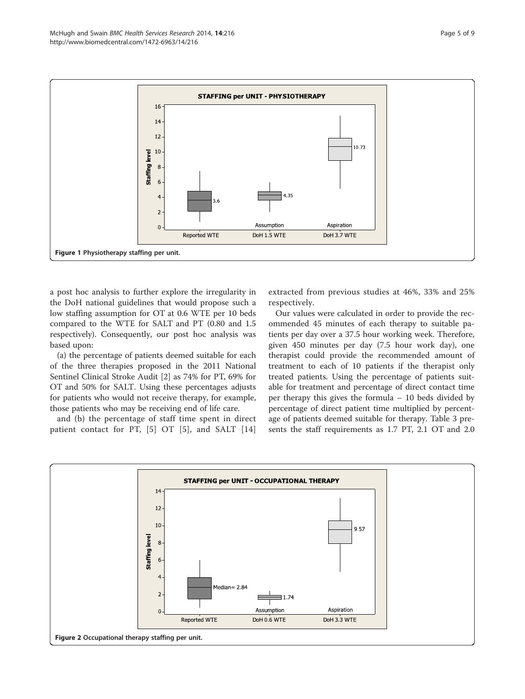<span id="page-4-0"></span>

a post hoc analysis to further explore the irregularity in the DoH national guidelines that would propose such a low staffing assumption for OT at 0.6 WTE per 10 beds compared to the WTE for SALT and PT (0.80 and 1.5 respectively). Consequently, our post hoc analysis was based upon:

(a) the percentage of patients deemed suitable for each of the three therapies proposed in the 2011 National Sentinel Clinical Stroke Audit [[2\]](#page-7-0) as 74% for PT, 69% for OT and 50% for SALT. Using these percentages adjusts for patients who would not receive therapy, for example, those patients who may be receiving end of life care.

and (b) the percentage of staff time spent in direct patient contact for PT, [\[5\]](#page-7-0) OT [[5](#page-7-0)], and SALT [[14](#page-7-0)]

extracted from previous studies at 46%, 33% and 25% respectively.

Our values were calculated in order to provide the recommended 45 minutes of each therapy to suitable patients per day over a 37.5 hour working week. Therefore, given 450 minutes per day (7.5 hour work day), one therapist could provide the recommended amount of treatment to each of 10 patients if the therapist only treated patients. Using the percentage of patients suitable for treatment and percentage of direct contact time per therapy this gives the formula – 10 beds divided by percentage of direct patient time multiplied by percentage of patients deemed suitable for therapy. Table [3](#page-5-0) presents the staff requirements as 1.7 PT, 2.1 OT and 2.0

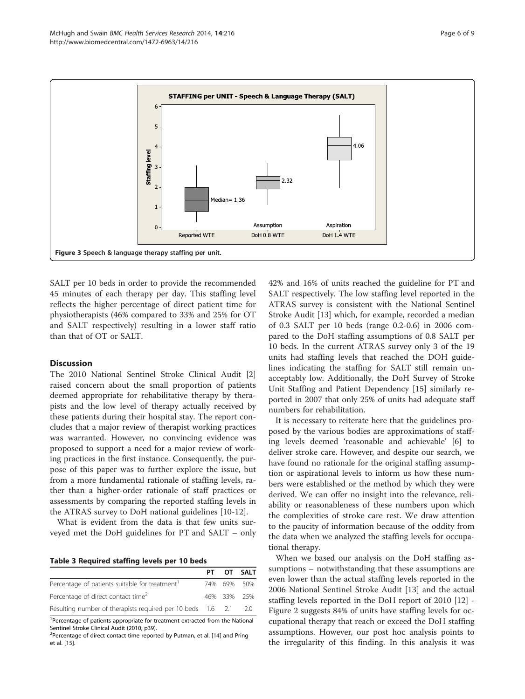<span id="page-5-0"></span>

SALT per 10 beds in order to provide the recommended 45 minutes of each therapy per day. This staffing level reflects the higher percentage of direct patient time for physiotherapists (46% compared to 33% and 25% for OT and SALT respectively) resulting in a lower staff ratio than that of OT or SALT.

### **Discussion**

The 2010 National Sentinel Stroke Clinical Audit [\[2](#page-7-0)] raised concern about the small proportion of patients deemed appropriate for rehabilitative therapy by therapists and the low level of therapy actually received by these patients during their hospital stay. The report concludes that a major review of therapist working practices was warranted. However, no convincing evidence was proposed to support a need for a major review of working practices in the first instance. Consequently, the purpose of this paper was to further explore the issue, but from a more fundamental rationale of staffing levels, rather than a higher-order rationale of staff practices or assessments by comparing the reported staffing levels in the ATRAS survey to DoH national guidelines [\[10-12](#page-7-0)].

What is evident from the data is that few units surveyed met the DoH guidelines for PT and SALT – only

|  | Table 3 Required staffing levels per 10 beds |  |  |  |  |  |
|--|----------------------------------------------|--|--|--|--|--|
|--|----------------------------------------------|--|--|--|--|--|

|                                                                 |             | PT OT SALT |
|-----------------------------------------------------------------|-------------|------------|
| Percentage of patients suitable for treatment <sup>1</sup>      | 74% 69% 50% |            |
| Percentage of direct contact time <sup>2</sup>                  | 46% 33% 25% |            |
| Resulting number of therapists required per 10 beds 1.6 2.1 2.0 |             |            |

<sup>1</sup>Percentage of patients appropriate for treatment extracted from the National Sentinel Stroke Clinical Audit (2010, p39).

<sup>2</sup> Percentage of direct contact time reported by Putman, et al. [\[14](#page-7-0)] and Pring et al. [[15](#page-7-0)].

42% and 16% of units reached the guideline for PT and SALT respectively. The low staffing level reported in the ATRAS survey is consistent with the National Sentinel Stroke Audit [\[13\]](#page-7-0) which, for example, recorded a median of 0.3 SALT per 10 beds (range 0.2-0.6) in 2006 compared to the DoH staffing assumptions of 0.8 SALT per 10 beds. In the current ATRAS survey only 3 of the 19 units had staffing levels that reached the DOH guidelines indicating the staffing for SALT still remain unacceptably low. Additionally, the DoH Survey of Stroke Unit Staffing and Patient Dependency [\[15](#page-7-0)] similarly reported in 2007 that only 25% of units had adequate staff numbers for rehabilitation.

It is necessary to reiterate here that the guidelines proposed by the various bodies are approximations of staffing levels deemed 'reasonable and achievable' [\[6\]](#page-7-0) to deliver stroke care. However, and despite our search, we have found no rationale for the original staffing assumption or aspirational levels to inform us how these numbers were established or the method by which they were derived. We can offer no insight into the relevance, reliability or reasonableness of these numbers upon which the complexities of stroke care rest. We draw attention to the paucity of information because of the oddity from the data when we analyzed the staffing levels for occupational therapy.

When we based our analysis on the DoH staffing assumptions – notwithstanding that these assumptions are even lower than the actual staffing levels reported in the 2006 National Sentinel Stroke Audit [[13\]](#page-7-0) and the actual staffing levels reported in the DoH report of 2010 [[12](#page-7-0)] - Figure [2](#page-4-0) suggests 84% of units have staffing levels for occupational therapy that reach or exceed the DoH staffing assumptions. However, our post hoc analysis points to the irregularity of this finding. In this analysis it was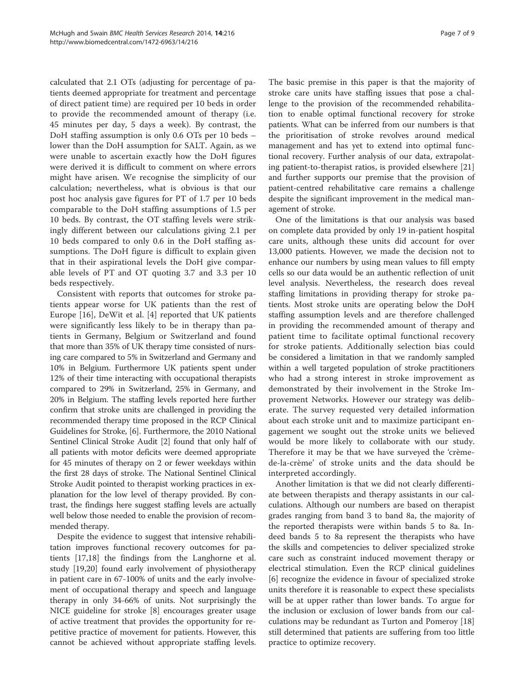calculated that 2.1 OTs (adjusting for percentage of patients deemed appropriate for treatment and percentage of direct patient time) are required per 10 beds in order to provide the recommended amount of therapy (i.e. 45 minutes per day, 5 days a week). By contrast, the DoH staffing assumption is only 0.6 OTs per 10 beds – lower than the DoH assumption for SALT. Again, as we were unable to ascertain exactly how the DoH figures were derived it is difficult to comment on where errors might have arisen. We recognise the simplicity of our calculation; nevertheless, what is obvious is that our post hoc analysis gave figures for PT of 1.7 per 10 beds comparable to the DoH staffing assumptions of 1.5 per 10 beds. By contrast, the OT staffing levels were strikingly different between our calculations giving 2.1 per 10 beds compared to only 0.6 in the DoH staffing assumptions. The DoH figure is difficult to explain given that in their aspirational levels the DoH give comparable levels of PT and OT quoting 3.7 and 3.3 per 10 beds respectively.

Consistent with reports that outcomes for stroke patients appear worse for UK patients than the rest of Europe [\[16](#page-7-0)], DeWit et al. [\[4](#page-7-0)] reported that UK patients were significantly less likely to be in therapy than patients in Germany, Belgium or Switzerland and found that more than 35% of UK therapy time consisted of nursing care compared to 5% in Switzerland and Germany and 10% in Belgium. Furthermore UK patients spent under 12% of their time interacting with occupational therapists compared to 29% in Switzerland, 25% in Germany, and 20% in Belgium. The staffing levels reported here further confirm that stroke units are challenged in providing the recommended therapy time proposed in the RCP Clinical Guidelines for Stroke, [[6\]](#page-7-0). Furthermore, the 2010 National Sentinel Clinical Stroke Audit [\[2](#page-7-0)] found that only half of all patients with motor deficits were deemed appropriate for 45 minutes of therapy on 2 or fewer weekdays within the first 28 days of stroke. The National Sentinel Clinical Stroke Audit pointed to therapist working practices in explanation for the low level of therapy provided. By contrast, the findings here suggest staffing levels are actually well below those needed to enable the provision of recommended therapy.

Despite the evidence to suggest that intensive rehabilitation improves functional recovery outcomes for patients [[17,18\]](#page-7-0) the findings from the Langhorne et al. study [[19,](#page-7-0)[20\]](#page-8-0) found early involvement of physiotherapy in patient care in 67-100% of units and the early involvement of occupational therapy and speech and language therapy in only 34-66% of units. Not surprisingly the NICE guideline for stroke [\[8](#page-7-0)] encourages greater usage of active treatment that provides the opportunity for repetitive practice of movement for patients. However, this cannot be achieved without appropriate staffing levels.

The basic premise in this paper is that the majority of stroke care units have staffing issues that pose a challenge to the provision of the recommended rehabilitation to enable optimal functional recovery for stroke patients. What can be inferred from our numbers is that the prioritisation of stroke revolves around medical management and has yet to extend into optimal functional recovery. Further analysis of our data, extrapolating patient-to-therapist ratios, is provided elsewhere [[21](#page-8-0)] and further supports our premise that the provision of patient-centred rehabilitative care remains a challenge despite the significant improvement in the medical management of stroke.

One of the limitations is that our analysis was based on complete data provided by only 19 in-patient hospital care units, although these units did account for over 13,000 patients. However, we made the decision not to enhance our numbers by using mean values to fill empty cells so our data would be an authentic reflection of unit level analysis. Nevertheless, the research does reveal staffing limitations in providing therapy for stroke patients. Most stroke units are operating below the DoH staffing assumption levels and are therefore challenged in providing the recommended amount of therapy and patient time to facilitate optimal functional recovery for stroke patients. Additionally selection bias could be considered a limitation in that we randomly sampled within a well targeted population of stroke practitioners who had a strong interest in stroke improvement as demonstrated by their involvement in the Stroke Improvement Networks. However our strategy was deliberate. The survey requested very detailed information about each stroke unit and to maximize participant engagement we sought out the stroke units we believed would be more likely to collaborate with our study. Therefore it may be that we have surveyed the 'crèmede-la-crème' of stroke units and the data should be interpreted accordingly.

Another limitation is that we did not clearly differentiate between therapists and therapy assistants in our calculations. Although our numbers are based on therapist grades ranging from band 3 to band 8a, the majority of the reported therapists were within bands 5 to 8a. Indeed bands 5 to 8a represent the therapists who have the skills and competencies to deliver specialized stroke care such as constraint induced movement therapy or electrical stimulation. Even the RCP clinical guidelines [[6\]](#page-7-0) recognize the evidence in favour of specialized stroke units therefore it is reasonable to expect these specialists will be at upper rather than lower bands. To argue for the inclusion or exclusion of lower bands from our calculations may be redundant as Turton and Pomeroy [[18](#page-7-0)] still determined that patients are suffering from too little practice to optimize recovery.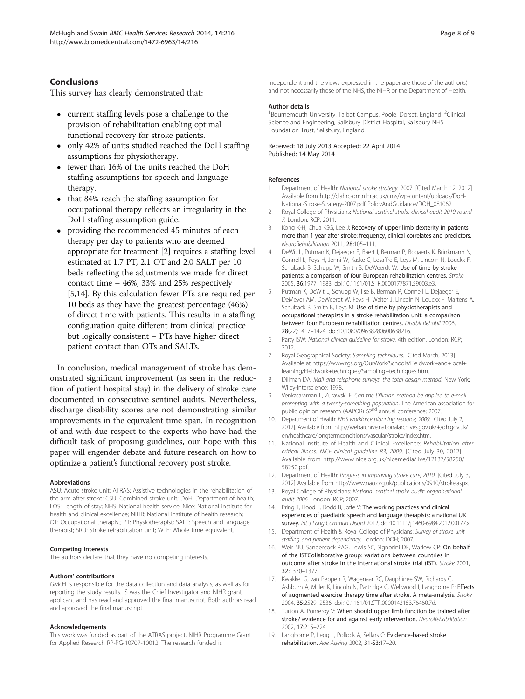## <span id="page-7-0"></span>Conclusions

This survey has clearly demonstrated that:

- current staffing levels pose a challenge to the provision of rehabilitation enabling optimal functional recovery for stroke patients.
- only 42% of units studied reached the DoH staffing assumptions for physiotherapy.
- fewer than 16% of the units reached the DoH staffing assumptions for speech and language therapy.
- that 84% reach the staffing assumption for occupational therapy reflects an irregularity in the DoH staffing assumption guide.
- providing the recommended 45 minutes of each therapy per day to patients who are deemed appropriate for treatment [2] requires a staffing level estimated at 1.7 PT, 2.1 OT and 2.0 SALT per 10 beds reflecting the adjustments we made for direct contact time – 46%, 33% and 25% respectively [5,14]. By this calculation fewer PTs are required per 10 beds as they have the greatest percentage (46%) of direct time with patients. This results in a staffing configuration quite different from clinical practice but logically consistent – PTs have higher direct patient contact than OTs and SALTs.

In conclusion, medical management of stroke has demonstrated significant improvement (as seen in the reduction of patient hospital stay) in the delivery of stroke care documented in consecutive sentinel audits. Nevertheless, discharge disability scores are not demonstrating similar improvements in the equivalent time span. In recognition of and with due respect to the experts who have had the difficult task of proposing guidelines, our hope with this paper will engender debate and future research on how to optimize a patient's functional recovery post stroke.

#### Abbreviations

ASU: Acute stroke unit; ATRAS: Assistive technologies in the rehabilitation of the arm after stroke; CSU: Combined stroke unit; DoH: Department of health; LOS: Length of stay; NHS: National health service; Nice: National institute for health and clinical excellence; NIHR: National institute of health research; OT: Occupational therapist; PT: Physiotherapist; SALT: Speech and language therapist; SRU: Stroke rehabilitation unit; WTE: Whole time equivalent.

#### Competing interests

The authors declare that they have no competing interests.

#### Authors' contributions

GMcH is responsible for the data collection and data analysis, as well as for reporting the study results. IS was the Chief Investigator and NIHR grant applicant and has read and approved the final manuscript. Both authors read and approved the final manuscript.

#### Acknowledgements

This work was funded as part of the ATRAS project, NIHR Programme Grant for Applied Research RP-PG-10707-10012. The research funded is

independent and the views expressed in the paper are those of the author(s) and not necessarily those of the NHS, the NIHR or the Department of Health.

#### Author details

<sup>1</sup>Bournemouth University, Talbot Campus, Poole, Dorset, England. <sup>2</sup>Clinical Science and Engineering, Salisbury District Hospital, Salisbury NHS Foundation Trust, Salisbury, England.

Received: 18 July 2013 Accepted: 22 April 2014 Published: 14 May 2014

#### References

- 1. Department of Health: National stroke strategy. 2007. [Cited March 12, 2012] Available from [http://clahrc-gm.nihr.ac.uk/cms/wp-content/uploads/DoH-](http://clahrc-gm.nihr.ac.uk/cms/wp-content/uploads/DoH-National-Stroke-Strategy-2007.pdf)[National-Stroke-Strategy-2007.pdf](http://clahrc-gm.nihr.ac.uk/cms/wp-content/uploads/DoH-National-Stroke-Strategy-2007.pdf) PolicyAndGuidance/DOH\_081062.
- 2. Royal College of Physicians: National sentinel stroke clinical audit 2010 round 7. London: RCP; 2011.
- 3. Kong K-H, Chua KSG, Lee J: Recovery of upper limb dexterity in patients more than 1 year after stroke: frequency, clinical correlates and predictors. NeuroRehabilitation 2011, 28:105–111.
- 4. DeWit L, Putman K, Dejaeger E, Baert I, Berman P, Bogaerts K, Brinkmann N, Connell L, Feys H, Jenni W, Kaske C, Lesaffre E, Leys M, Lincoln N, Louckx F, Schuback B, Schupp W, Smith B, DeWeerdt W: Use of time by stroke patients: a comparison of four European rehabilitation centres. Stroke 2005, 36:1977–1983. doi:10.1161/01.STR.0000177871.59003.e3.
- 5. Putman K, DeWit L, Schupp W, Ilse B, Berman P, Connell L, Dejaeger E, DeMeyer AM, DeWeerdt W, Feys H, Walter J, Lincoln N, Louckx F, Martens A, Schuback B, Smith B, Leys M: Use of time by physiotherapists and occupational therapists in a stroke rehabilitation unit: a comparison between four European rehabilitation centres. Disabil Rehabil 2006, 28(22):1417–1424. doi:10.1080/09638280600638216.
- 6. Party ISW: National clinical guideline for stroke. 4th edition. London: RCP; 2012.
- 7. Royal Geographical Society: Sampling techniques. [Cited March, 2013] Available at [https://www.rgs.org/OurWork/Schools/Fieldwork+and+local+](https://www.rgs.org/OurWork/Schools/Fieldwork+and+local+learning/Fieldwork+techniques/Sampling+techniques.htm) [learning/Fieldwork+techniques/Sampling+techniques.htm.](https://www.rgs.org/OurWork/Schools/Fieldwork+and+local+learning/Fieldwork+techniques/Sampling+techniques.htm)
- 8. Dillman DA: Mail and telephone surveys: the total design method. New York: Wiley-Interscience; 1978.
- 9. Venkataraman L, Zurawski E: Can the Dillman method be applied to e-mail prompting with a twenty-something population, The American association for public opinion research (AAPOR) 62<sup>nd</sup> annual conference; 2007.
- 10. Department of Health: NHS workforce planning resource, 2009. [Cited July 2, 2012]. Available from [http://webarchive.nationalarchives.gov.uk/+/dh.gov.uk/](http://webarchive.nationalarchives.gov.uk/+/dh.gov.uk/en/healthcare/longtermconditions/vascular/stroke/index.htm) [en/healthcare/longtermconditions/vascular/stroke/index.htm.](http://webarchive.nationalarchives.gov.uk/+/dh.gov.uk/en/healthcare/longtermconditions/vascular/stroke/index.htm)
- 11. National Institute of Health and Clinical Excellence: Rehabilitation after critical illness: NICE clinical guideline 83, 2009. [Cited July 30, 2012]. Available from [http://www.nice.org.uk/nicemedia/live/12137/58250/](http://www.nice.org.uk/nicemedia/live/12137/58250/58250.pdf) [58250.pdf](http://www.nice.org.uk/nicemedia/live/12137/58250/58250.pdf).
- 12. Department of Health: Progress in improving stroke care, 2010. [Cited July 3, 2012] Available from [http://www.nao.org.uk/publications/0910/stroke.aspx.](http://www.nao.org.uk/publications/0910/stroke.aspx)
- 13. Royal College of Physicians: National sentinel stroke audit: organisational audit 2006. London: RCP; 2007.
- 14. Pring T, Flood E, Dodd B, Joffe V: The working practices and clinical experiences of paediatric speech and language therapists: a national UK survey. Int J Lang Commun Disord 2012, doi:10.1111/j.1460-6984.2012.00177.x.
- 15. Department of Health & Royal College of Physicians: Survey of stroke unit staffing and patient dependency. London: DOH; 2007.
- 16. Weir NU, Sandercock PAG, Lewis SC, Signorini DF, Warlow CP: On behalf of the ISTCollaborative group: variations between countries in outcome after stroke in the international stroke trial (IST). Stroke 2001, 32:1370–1377.
- 17. Kwakkel G, van Peppen R, Wagenaar RC, Dauphinee SW, Richards C, Ashburn A, Miller K, Lincoln N, Partridge C, Wellwood I, Langhorne P: Effects of augmented exercise therapy time after stroke. A meta-analysis. Stroke 2004, 35:2529–2536. doi:10.1161/01.STR.0000143153.76460.7d.
- 18. Turton A, Pomeroy V: When should upper limb function be trained after stroke? evidence for and against early intervention. NeuroRehabilitation 2002, 17:215–224.
- 19. Langhorne P, Legg L, Pollock A, Sellars C: Evidence-based stroke rehabilitation. Age Ageing 2002, 31-S3:17–20.